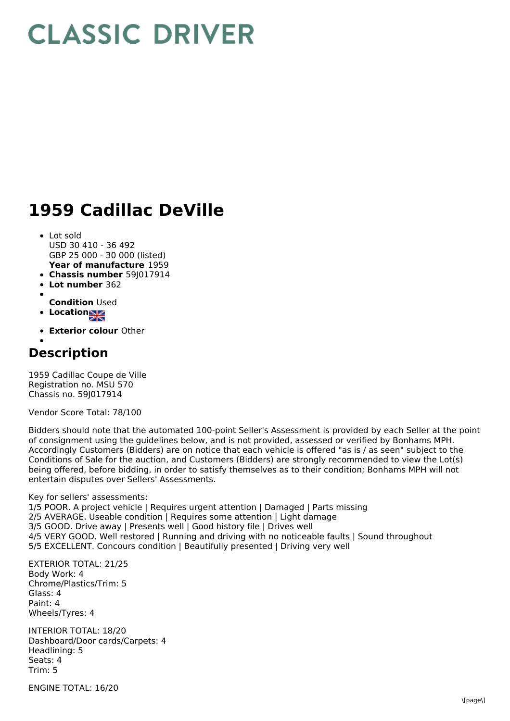## **CLASSIC DRIVER**

## **1959 Cadillac DeVille**

- **Year of manufacture** 1959 • Lot sold USD 30 410 - 36 492 GBP 25 000 - 30 000 (listed)
- **Chassis number** 59J017914
- **Lot number** 362
- 
- **Condition** Used
- **Location**
- **Exterior colour** Other

## **Description**

1959 Cadillac Coupe de Ville Registration no. MSU 570 Chassis no. 59J017914

Vendor Score Total: 78/100

Bidders should note that the automated 100-point Seller's Assessment is provided by each Seller at the point of consignment using the guidelines below, and is not provided, assessed or verified by Bonhams MPH. Accordingly Customers (Bidders) are on notice that each vehicle is offered "as is / as seen" subject to the Conditions of Sale for the auction, and Customers (Bidders) are strongly recommended to view the Lot(s) being offered, before bidding, in order to satisfy themselves as to their condition; Bonhams MPH will not entertain disputes over Sellers' Assessments.

Key for sellers' assessments:

1/5 POOR. A project vehicle | Requires urgent attention | Damaged | Parts missing 2/5 AVERAGE. Useable condition | Requires some attention | Light damage 3/5 GOOD. Drive away | Presents well | Good history file | Drives well 4/5 VERY GOOD. Well restored | Running and driving with no noticeable faults | Sound throughout 5/5 EXCELLENT. Concours condition | Beautifully presented | Driving very well

EXTERIOR TOTAL: 21/25 Body Work: 4 Chrome/Plastics/Trim: 5 Glass: 4 Paint: 4 Wheels/Tyres: 4

INTERIOR TOTAL: 18/20 Dashboard/Door cards/Carpets: 4 Headlining: 5 Seats: 4 Trim: 5

ENGINE TOTAL: 16/20